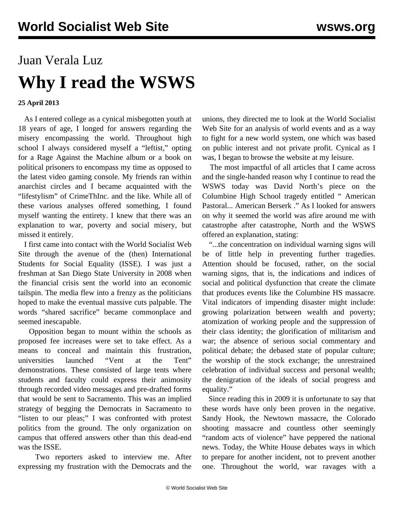## Juan Verala Luz **Why I read the WSWS**

## **25 April 2013**

 As I entered college as a cynical misbegotten youth at 18 years of age, I longed for answers regarding the misery encompassing the world. Throughout high school I always considered myself a "leftist," opting for a Rage Against the Machine album or a book on political prisoners to encompass my time as opposed to the latest video gaming console. My friends ran within anarchist circles and I became acquainted with the "lifestylism" of CrimeThInc. and the like. While all of these various analyses offered something, I found myself wanting the entirety. I knew that there was an explanation to war, poverty and social misery, but missed it entirely.

 I first came into contact with the World Socialist Web Site through the avenue of the (then) International Students for Social Equality (ISSE). I was just a freshman at San Diego State University in 2008 when the financial crisis sent the world into an economic tailspin. The media flew into a frenzy as the politicians hoped to make the eventual massive cuts palpable. The words "shared sacrifice" became commonplace and seemed inescapable.

 Opposition began to mount within the schools as proposed fee increases were set to take effect. As a means to conceal and maintain this frustration, universities launched "Vent at the Tent" demonstrations. These consisted of large tents where students and faculty could express their animosity through recorded video messages and pre-drafted forms that would be sent to Sacramento. This was an implied strategy of begging the Democrats in Sacramento to "listen to our pleas;" I was confronted with protest politics from the ground. The only organization on campus that offered answers other than this dead-end was the ISSE.

 Two reporters asked to interview me. After expressing my frustration with the Democrats and the unions, they directed me to look at the World Socialist Web Site for an analysis of world events and as a way to fight for a new world system, one which was based on public interest and not private profit. Cynical as I was, I began to browse the website at my leisure.

 The most impactful of all articles that I came across and the single-handed reason why I continue to read the WSWS today was David North's piece on the Columbine High School tragedy entitled " [American](/en/articles/2009/04/colu-a20.html) [Pastoral... American Berserk](/en/articles/2009/04/colu-a20.html) ." As I looked for answers on why it seemed the world was afire around me with catastrophe after catastrophe, North and the WSWS offered an explanation, stating:

 "...the concentration on individual warning signs will be of little help in preventing further tragedies. Attention should be focused, rather, on the social warning signs, that is, the indications and indices of social and political dysfunction that create the climate that produces events like the Columbine HS massacre. Vital indicators of impending disaster might include: growing polarization between wealth and poverty; atomization of working people and the suppression of their class identity; the glorification of militarism and war; the absence of serious social commentary and political debate; the debased state of popular culture; the worship of the stock exchange; the unrestrained celebration of individual success and personal wealth; the denigration of the ideals of social progress and equality."

 Since reading this in 2009 it is unfortunate to say that these words have only been proven in the negative. Sandy Hook, the Newtown massacre, the Colorado shooting massacre and countless other seemingly "random acts of violence" have peppered the national news. Today, the White House debates ways in which to prepare for another incident, not to prevent another one. Throughout the world, war ravages with a